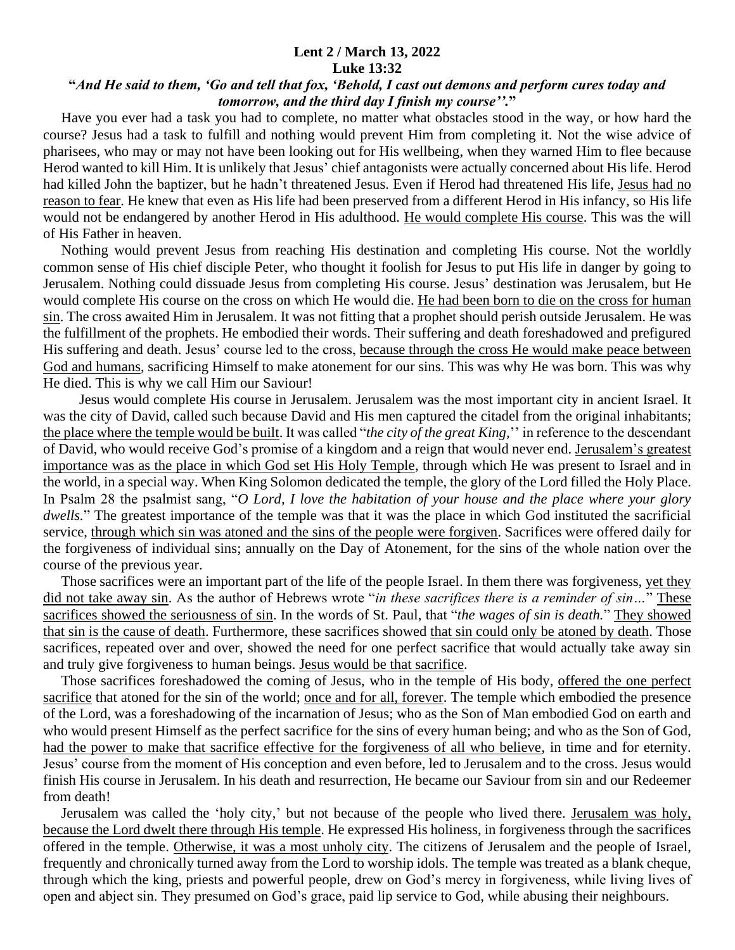## **Lent 2 / March 13, 2022 Luke 13:32**

## **"***And He said to them, 'Go and tell that fox, 'Behold, I cast out demons and perform cures today and tomorrow, and the third day I finish my course''.***"**

 Have you ever had a task you had to complete, no matter what obstacles stood in the way, or how hard the course? Jesus had a task to fulfill and nothing would prevent Him from completing it. Not the wise advice of pharisees, who may or may not have been looking out for His wellbeing, when they warned Him to flee because Herod wanted to kill Him. It is unlikely that Jesus' chief antagonists were actually concerned about His life. Herod had killed John the baptizer, but he hadn't threatened Jesus. Even if Herod had threatened His life, Jesus had no reason to fear. He knew that even as His life had been preserved from a different Herod in His infancy, so His life would not be endangered by another Herod in His adulthood. He would complete His course. This was the will of His Father in heaven.

 Nothing would prevent Jesus from reaching His destination and completing His course. Not the worldly common sense of His chief disciple Peter, who thought it foolish for Jesus to put His life in danger by going to Jerusalem. Nothing could dissuade Jesus from completing His course. Jesus' destination was Jerusalem, but He would complete His course on the cross on which He would die. He had been born to die on the cross for human sin. The cross awaited Him in Jerusalem. It was not fitting that a prophet should perish outside Jerusalem. He was the fulfillment of the prophets. He embodied their words. Their suffering and death foreshadowed and prefigured His suffering and death. Jesus' course led to the cross, because through the cross He would make peace between God and humans, sacrificing Himself to make atonement for our sins. This was why He was born. This was why He died. This is why we call Him our Saviour!

 Jesus would complete His course in Jerusalem. Jerusalem was the most important city in ancient Israel. It was the city of David, called such because David and His men captured the citadel from the original inhabitants; the place where the temple would be built. It was called "*the city of the great King,*'' in reference to the descendant of David, who would receive God's promise of a kingdom and a reign that would never end. Jerusalem's greatest importance was as the place in which God set His Holy Temple, through which He was present to Israel and in the world, in a special way. When King Solomon dedicated the temple, the glory of the Lord filled the Holy Place. In Psalm 28 the psalmist sang, "*O Lord, I love the habitation of your house and the place where your glory dwells.*" The greatest importance of the temple was that it was the place in which God instituted the sacrificial service, through which sin was atoned and the sins of the people were forgiven. Sacrifices were offered daily for the forgiveness of individual sins; annually on the Day of Atonement, for the sins of the whole nation over the course of the previous year.

 Those sacrifices were an important part of the life of the people Israel. In them there was forgiveness, yet they did not take away sin. As the author of Hebrews wrote "*in these sacrifices there is a reminder of sin…*" These sacrifices showed the seriousness of sin. In the words of St. Paul, that "*the wages of sin is death.*" They showed that sin is the cause of death. Furthermore, these sacrifices showed that sin could only be atoned by death. Those sacrifices, repeated over and over, showed the need for one perfect sacrifice that would actually take away sin and truly give forgiveness to human beings. Jesus would be that sacrifice.

 Those sacrifices foreshadowed the coming of Jesus, who in the temple of His body, offered the one perfect sacrifice that atoned for the sin of the world; once and for all, forever. The temple which embodied the presence of the Lord, was a foreshadowing of the incarnation of Jesus; who as the Son of Man embodied God on earth and who would present Himself as the perfect sacrifice for the sins of every human being; and who as the Son of God, had the power to make that sacrifice effective for the forgiveness of all who believe, in time and for eternity. Jesus' course from the moment of His conception and even before, led to Jerusalem and to the cross. Jesus would finish His course in Jerusalem. In his death and resurrection, He became our Saviour from sin and our Redeemer from death!

 Jerusalem was called the 'holy city,' but not because of the people who lived there. Jerusalem was holy, because the Lord dwelt there through His temple. He expressed His holiness, in forgiveness through the sacrifices offered in the temple. Otherwise, it was a most unholy city. The citizens of Jerusalem and the people of Israel, frequently and chronically turned away from the Lord to worship idols. The temple was treated as a blank cheque, through which the king, priests and powerful people, drew on God's mercy in forgiveness, while living lives of open and abject sin. They presumed on God's grace, paid lip service to God, while abusing their neighbours.